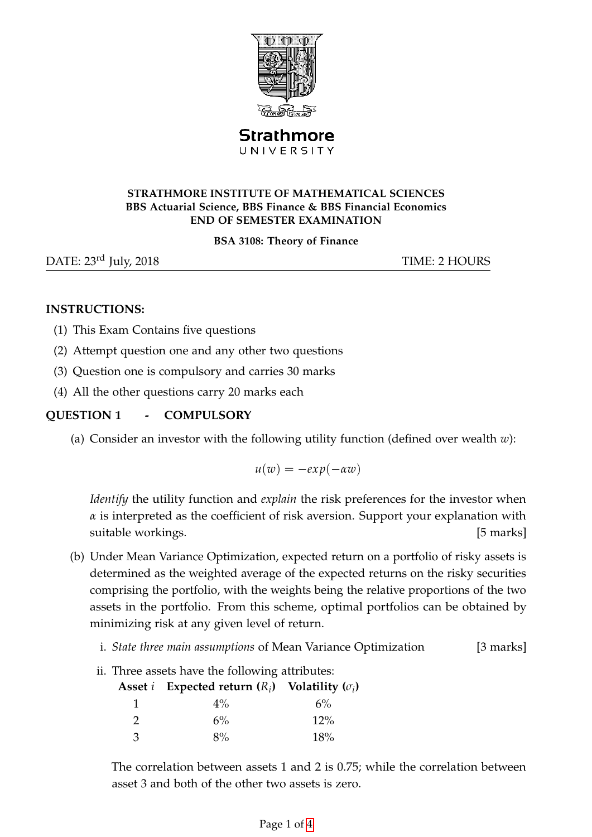

Strathmore UNIVERSITY

#### **STRATHMORE INSTITUTE OF MATHEMATICAL SCIENCES BBS Actuarial Science, BBS Finance & BBS Financial Economics END OF SEMESTER EXAMINATION**

#### **BSA 3108: Theory of Finance**

DATE: 23<sup>rd</sup> July, 2018 TIME: 2 HOURS

## **INSTRUCTIONS:**

- (1) This Exam Contains five questions
- (2) Attempt question one and any other two questions
- (3) Question one is compulsory and carries 30 marks
- (4) All the other questions carry 20 marks each

# **QUESTION 1 - COMPULSORY**

(a) Consider an investor with the following utility function (defined over wealth *w*):

 $u(w) = -e x p(-\alpha w)$ 

*Identify* the utility function and *explain* the risk preferences for the investor when *α* is interpreted as the coefficient of risk aversion. Support your explanation with suitable workings. [5 marks]

- (b) Under Mean Variance Optimization, expected return on a portfolio of risky assets is determined as the weighted average of the expected returns on the risky securities comprising the portfolio, with the weights being the relative proportions of the two assets in the portfolio. From this scheme, optimal portfolios can be obtained by minimizing risk at any given level of return.
	- i. *State three main assumptions* of Mean Variance Optimization [3 marks]
	- ii. Three assets have the following attributes:

|               | Asset <i>i</i> Expected return $(R_i)$ Volatility $(\sigma_i)$ |       |
|---------------|----------------------------------------------------------------|-------|
|               | $4\%$                                                          | $6\%$ |
| $\mathcal{D}$ | $6\%$                                                          | 12%   |
| 3             | 8%                                                             | 18%   |

The correlation between assets 1 and 2 is 0.75; while the correlation between asset 3 and both of the other two assets is zero.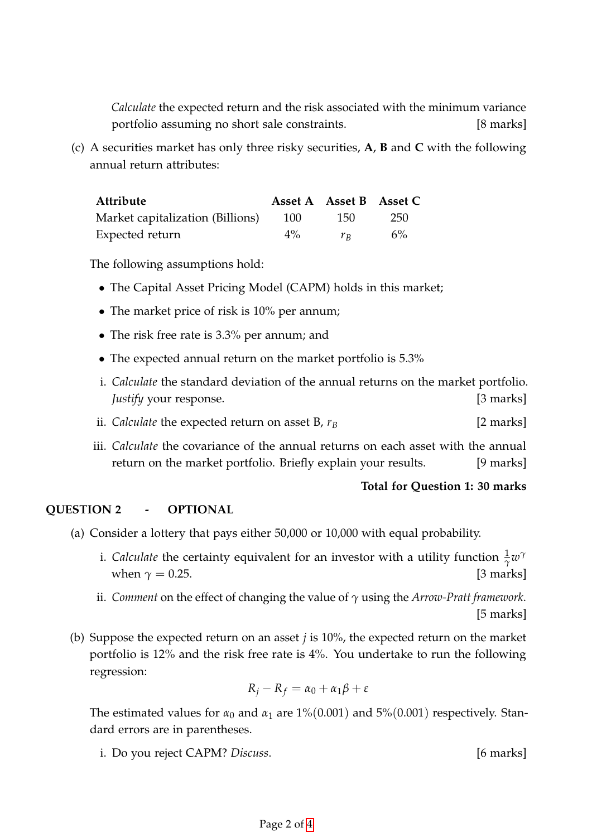*Calculate* the expected return and the risk associated with the minimum variance portfolio assuming no short sale constraints. [8 marks]

(c) A securities market has only three risky securities, **A**, **B** and **C** with the following annual return attributes:

| Attribute                        |       | Asset A Asset B Asset C |     |
|----------------------------------|-------|-------------------------|-----|
| Market capitalization (Billions) | 100   | 15O                     | 250 |
| Expected return                  | $4\%$ | $r_{B}$                 | 6%  |

The following assumptions hold:

- The Capital Asset Pricing Model (CAPM) holds in this market;
- The market price of risk is 10% per annum;
- The risk free rate is 3.3% per annum; and
- The expected annual return on the market portfolio is 5.3%
- i. *Calculate* the standard deviation of the annual returns on the market portfolio. *Justify* your response. [3 marks]
- ii. *Calculate* the expected return on asset B,  $r_B$  [2 marks]
- iii. *Calculate* the covariance of the annual returns on each asset with the annual return on the market portfolio. Briefly explain your results. [9 marks]

#### **Total for Question 1: 30 marks**

### **QUESTION 2 - OPTIONAL**

- (a) Consider a lottery that pays either 50,000 or 10,000 with equal probability.
	- i. *Calculate* the certainty equivalent for an investor with a utility function  $\frac{1}{\gamma}w^{\gamma}$ when  $\gamma = 0.25$ . [3 marks]
	- ii. *Comment* on the effect of changing the value of *γ* using the *Arrow-Pratt framework*.  $[5$  marks]
- (b) Suppose the expected return on an asset *j* is 10%, the expected return on the market portfolio is 12% and the risk free rate is 4%. You undertake to run the following regression:

$$
R_j - R_f = \alpha_0 + \alpha_1 \beta + \varepsilon
$$

The estimated values for  $\alpha_0$  and  $\alpha_1$  are 1%(0.001) and 5%(0.001) respectively. Standard errors are in parentheses.

i. Do you reject CAPM? *Discuss*. [6 marks]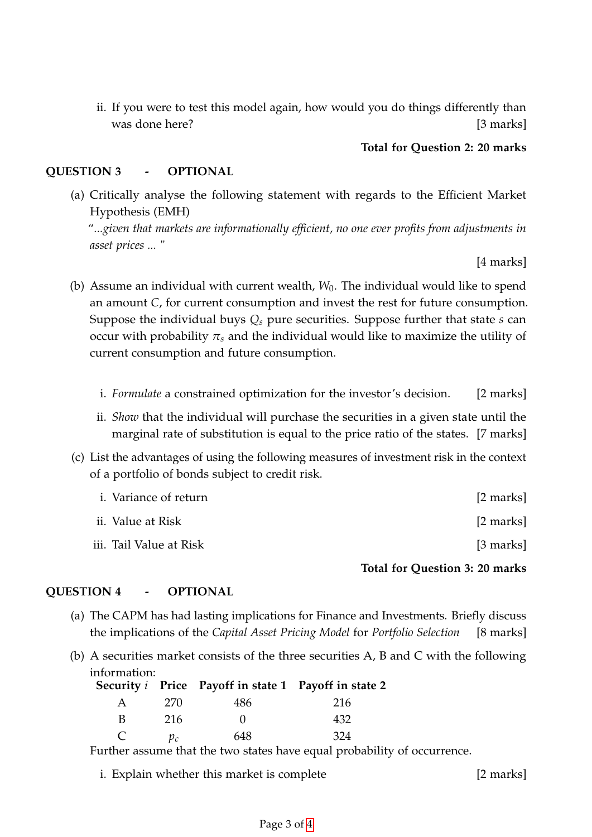ii. If you were to test this model again, how would you do things differently than was done here? [3 marks]

## **Total for Question 2: 20 marks**

## **QUESTION 3 - OPTIONAL**

(a) Critically analyse the following statement with regards to the Efficient Market Hypothesis (EMH)

"*...given that markets are informationally efficient, no one ever profits from adjustments in asset prices ...* "

 $[4 \text{ marks}]$ 

- (b) Assume an individual with current wealth, *W*<sub>0</sub>. The individual would like to spend an amount *C*, for current consumption and invest the rest for future consumption. Suppose the individual buys *Q<sup>s</sup>* pure securities. Suppose further that state *s* can occur with probability  $\pi_s$  and the individual would like to maximize the utility of current consumption and future consumption.
	- i. *Formulate* a constrained optimization for the investor's decision. [2 marks]
	- ii. *Show* that the individual will purchase the securities in a given state until the marginal rate of substitution is equal to the price ratio of the states. [7 marks]
- (c) List the advantages of using the following measures of investment risk in the context of a portfolio of bonds subject to credit risk.

| <i>i.</i> Variance of return | [2 marks] |
|------------------------------|-----------|
| ii. Value at Risk            | [2 marks] |
| iii. Tail Value at Risk      | [3 marks] |

**Total for Question 3: 20 marks**

#### **QUESTION 4 - OPTIONAL**

- (a) The CAPM has had lasting implications for Finance and Investments. Briefly discuss the implications of the *Capital Asset Pricing Model* for *Portfolio Selection* [8 marks]
- (b) A securities market consists of the three securities A, B and C with the following information:

|   |       | Security <i>i</i> Price Payoff in state 1 Payoff in state 2 |     |
|---|-------|-------------------------------------------------------------|-----|
| A | 270   | 486                                                         | 216 |
| B | 216   |                                                             | 432 |
| C | $p_c$ | 648                                                         | 324 |

Further assume that the two states have equal probability of occurrence.

i. Explain whether this market is complete [2 marks]